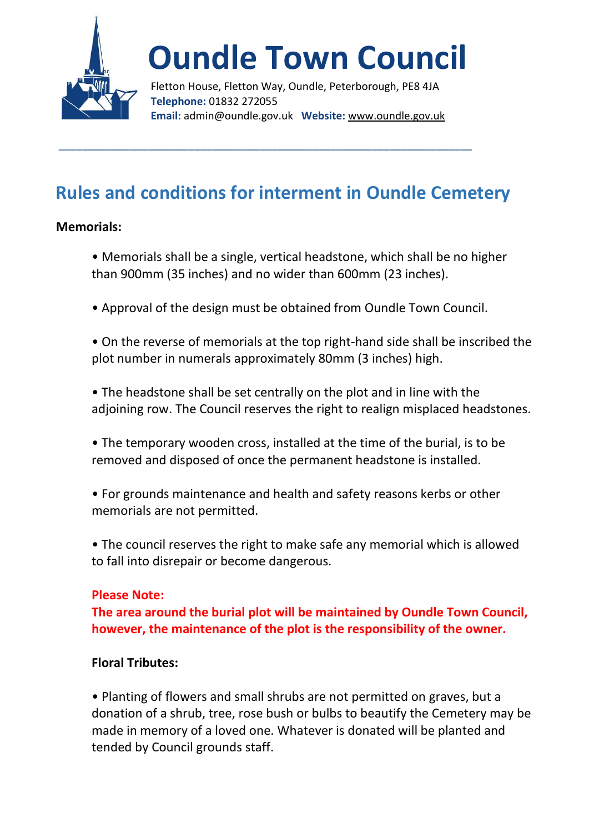

# **Oundle Town Council**

Fletton House, Fletton Way, Oundle, Peterborough, PE8 4JA **Telephone:** 01832 272055 **Email:** admin@oundle.gov.uk **Website:** www.oundle.gov.uk

## **Rules and conditions for interment in Oundle Cemetery**

\_\_\_\_\_\_\_\_\_\_\_\_\_\_\_\_\_\_\_\_\_\_\_\_\_\_\_\_\_\_\_\_\_\_\_\_\_\_\_\_\_\_\_\_\_\_\_\_\_\_\_\_\_\_\_\_\_\_\_\_\_\_\_\_\_\_\_\_\_\_

#### **Memorials:**

- Memorials shall be a single, vertical headstone, which shall be no higher than 900mm (35 inches) and no wider than 600mm (23 inches).
- Approval of the design must be obtained from Oundle Town Council.
- On the reverse of memorials at the top right-hand side shall be inscribed the plot number in numerals approximately 80mm (3 inches) high.
- The headstone shall be set centrally on the plot and in line with the adjoining row. The Council reserves the right to realign misplaced headstones.
- The temporary wooden cross, installed at the time of the burial, is to be removed and disposed of once the permanent headstone is installed.
- For grounds maintenance and health and safety reasons kerbs or other memorials are not permitted.
- The council reserves the right to make safe any memorial which is allowed to fall into disrepair or become dangerous.

### **Please Note:**

**The area around the burial plot will be maintained by Oundle Town Council, however, the maintenance of the plot is the responsibility of the owner.**

#### **Floral Tributes:**

• Planting of flowers and small shrubs are not permitted on graves, but a donation of a shrub, tree, rose bush or bulbs to beautify the Cemetery may be made in memory of a loved one. Whatever is donated will be planted and tended by Council grounds staff.